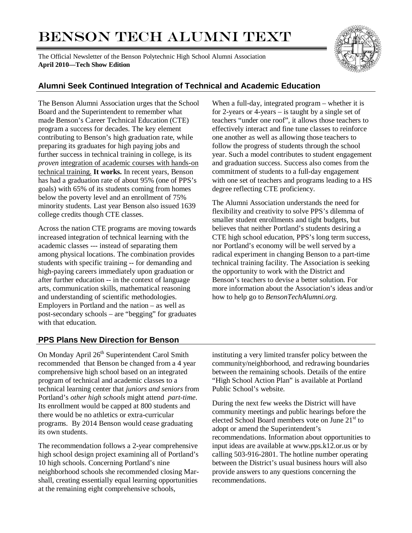# BENSON TECH ALUMNI TEXT

The Official Newsletter of the Benson Polytechnic High School Alumni Association **April 2010—Tech Show Edition**



# **Alumni Seek Continued Integration of Technical and Academic Education**

The Benson Alumni Association urges that the School Board and the Superintendent to remember what made Benson's Career Technical Education (CTE) program a success for decades. The key element contributing to Benson's high graduation rate, while preparing its graduates for high paying jobs and further success in technical training in college, is its *proven* integration of academic courses with hands-on technical training. **It works.** In recent years, Benson has had a graduation rate of about 95% (one of PPS's goals) with 65% of its students coming from homes below the poverty level and an enrollment of 75% minority students. Last year Benson also issued 1639 college credits though CTE classes.

Across the nation CTE programs are moving towards increased integration of technical learning with the academic classes --- instead of separating them among physical locations. The combination provides students with specific training -- for demanding and high-paying careers immediately upon graduation or after further education -- in the context of language arts, communication skills, mathematical reasoning and understanding of scientific methodologies. Employers in Portland and the nation – as well as post-secondary schools – are "begging" for graduates with that education.

When a full-day, integrated program – whether it is for 2-years or 4-years – is taught by a single set of teachers "under one roof", it allows those teachers to effectively interact and fine tune classes to reinforce one another as well as allowing those teachers to follow the progress of students through the school year. Such a model contributes to student engagement and graduation success. Success also comes from the commitment of students to a full-day engagement with one set of teachers and programs leading to a HS degree reflecting CTE proficiency.

The Alumni Association understands the need for flexibility and creativity to solve PPS's dilemma of smaller student enrollments and tight budgets, but believes that neither Portland's students desiring a CTE high school education, PPS's long term success, nor Portland's economy will be well served by a radical experiment in changing Benson to a part-time technical training facility. The Association is seeking the opportunity to work with the District and Benson's teachers to devise a better solution. For more information about the Association's ideas and/or how to help go to *BensonTechAlumni.org.* 

# **PPS Plans New Direction for Benson**

On Monday April 26<sup>th</sup> Superintendent Carol Smith recommended that Benson be changed from a 4 year comprehensive high school based on an integrated program of technical and academic classes to a technical learning center that *juniors and seniors* from Portland's *other high schools* might attend *part-time*. Its enrollment would be capped at 800 students and there would be no athletics or extra-curricular programs. By 2014 Benson would cease graduating its own students.

The recommendation follows a 2-year comprehensive high school design project examining all of Portland's 10 high schools. Concerning Portland's nine neighborhood schools she recommended closing Marshall, creating essentially equal learning opportunities at the remaining eight comprehensive schools,

instituting a very limited transfer policy between the community/neighborhood, and redrawing boundaries between the remaining schools. Details of the entire "High School Action Plan" is available at Portland Public School's website.

During the next few weeks the District will have community meetings and public hearings before the elected School Board members vote on June 21<sup>st</sup> to adopt or amend the Superintendent's recommendations. Information about opportunities to input ideas are available at www.pps.k12.or.us or by calling 503-916-2801. The hotline number operating between the District's usual business hours will also provide answers to any questions concerning the recommendations.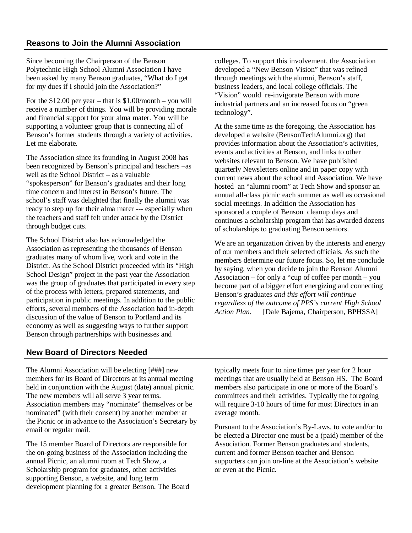Since becoming the Chairperson of the Benson Polytechnic High School Alumni Association I have been asked by many Benson graduates, "What do I get for my dues if I should join the Association?"

For the  $$12.00$  per year – that is  $$1.00/month - you will$ receive a number of things. You will be providing morale and financial support for your alma mater. You will be supporting a volunteer group that is connecting all of Benson's former students through a variety of activities. Let me elaborate.

The Association since its founding in August 2008 has been recognized by Benson's principal and teachers –as well as the School District – as a valuable "spokesperson" for Benson's graduates and their long time concern and interest in Benson's future. The school's staff was delighted that finally the alumni was ready to step up for their alma mater --- especially when the teachers and staff felt under attack by the District through budget cuts.

The School District also has acknowledged the Association as representing the thousands of Benson graduates many of whom live, work and vote in the District. As the School District proceeded with its "High School Design" project in the past year the Association was the group of graduates that participated in every step of the process with letters, prepared statements, and participation in public meetings. In addition to the public efforts, several members of the Association had in-depth discussion of the value of Benson to Portland and its economy as well as suggesting ways to further support Benson through partnerships with businesses and

colleges. To support this involvement, the Association developed a "New Benson Vision" that was refined through meetings with the alumni, Benson's staff, business leaders, and local college officials. The "Vision" would re-invigorate Benson with more industrial partners and an increased focus on "green technology".

At the same time as the foregoing, the Association has developed a website (BensonTechAlumni.org) that provides information about the Association's activities, events and activities at Benson, and links to other websites relevant to Benson. We have published quarterly Newsletters online and in paper copy with current news about the school and Association. We have hosted an "alumni room" at Tech Show and sponsor an annual all-class picnic each summer as well as occasional social meetings. In addition the Association has sponsored a couple of Benson cleanup days and continues a scholarship program that has awarded dozens of scholarships to graduating Benson seniors.

We are an organization driven by the interests and energy of our members and their selected officials. As such the members determine our future focus. So, let me conclude by saying, when you decide to join the Benson Alumni Association – for only a "cup of coffee per month – you become part of a bigger effort energizing and connecting Benson's graduates *and this effort will continue regardless of the outcome of PPS's current High School Action Plan.* [Dale Bajema, Chairperson, BPHSSA]

### **New Board of Directors Needed**

The Alumni Association will be electing [###] new members for its Board of Directors at its annual meeting held in conjunction with the August (date) annual picnic. The new members will all serve 3 year terms. Association members may "nominate" themselves or be nominated" (with their consent) by another member at the Picnic or in advance to the Association's Secretary by email or regular mail.

The 15 member Board of Directors are responsible for the on-going business of the Association including the annual Picnic, an alumni room at Tech Show, a Scholarship program for graduates, other activities supporting Benson, a website, and long term development planning for a greater Benson. The Board typically meets four to nine times per year for 2 hour meetings that are usually held at Benson HS. The Board members also participate in one or more of the Board's committees and their activities. Typically the foregoing will require 3-10 hours of time for most Directors in an average month.

Pursuant to the Association's By-Laws, to vote and/or to be elected a Director one must be a (paid) member of the Association. Former Benson graduates and students, current and former Benson teacher and Benson supporters can join on-line at the Association's website or even at the Picnic.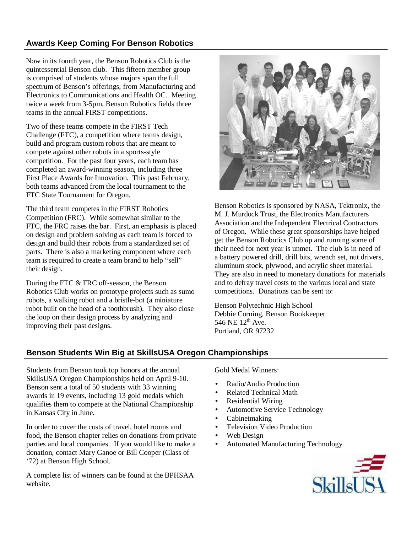# **Awards Keep Coming For Benson Robotics**

Now in its fourth year, the Benson Robotics Club is the quintessential Benson club. This fifteen member group is comprised of students whose majors span the full spectrum of Benson's offerings, from Manufacturing and Electronics to Communications and Health OC. Meeting twice a week from 3-5pm, Benson Robotics fields three teams in the annual FIRST competitions.

Two of these teams compete in the FIRST Tech Challenge (FTC), a competition where teams design, build and program custom robots that are meant to compete against other robots in a sports-style competition. For the past four years, each team has completed an award-winning season, including three First Place Awards for Innovation. This past February, both teams advanced from the local tournament to the FTC State Tournament for Oregon.

The third team competes in the FIRST Robotics Competition (FRC). While somewhat similar to the FTC, the FRC raises the bar. First, an emphasis is placed on design and problem solving as each team is forced to design and build their robots from a standardized set of parts. There is also a marketing component where each team is required to create a team brand to help "sell" their design.

During the FTC & FRC off-season, the Benson Robotics Club works on prototype projects such as sumo robots, a walking robot and a bristle-bot (a miniature robot built on the head of a toothbrush). They also close the loop on their design process by analyzing and improving their past designs.



Benson Robotics is sponsored by NASA, Tektronix, the M. J. Murdock Trust, the Electronics Manufacturers Association and the Independent Electrical Contractors of Oregon. While these great sponsorships have helped get the Benson Robotics Club up and running some of their need for next year is unmet. The club is in need of a battery powered drill, drill bits, wrench set, nut drivers, aluminum stock, plywood, and acrylic sheet material. They are also in need to monetary donations for materials and to defray travel costs to the various local and state competitions. Donations can be sent to:

Benson Polytechnic High School Debbie Corning, Benson Bookkeeper 546 NE 12<sup>th</sup> Ave. Portland, OR 97232

# **Benson Students Win Big at SkillsUSA Oregon Championships**

Students from Benson took top honors at the annual SkillsUSA Oregon Championships held on April 9-10. Benson sent a total of 50 students with 33 winning awards in 19 events, including 13 gold medals which qualifies them to compete at the National Championship in Kansas City in June.

In order to cover the costs of travel, hotel rooms and food, the Benson chapter relies on donations from private parties and local companies. If you would like to make a donation, contact Mary Ganoe or Bill Cooper (Class of '72) at Benson High School.

A complete list of winners can be found at the BPHSAA website.

Gold Medal Winners:

- Radio/Audio Production
- Related Technical Math
- Residential Wiring
- Automotive Service Technology
- Cabinetmaking
- Television Video Production
- Web Design
- Automated Manufacturing Technology